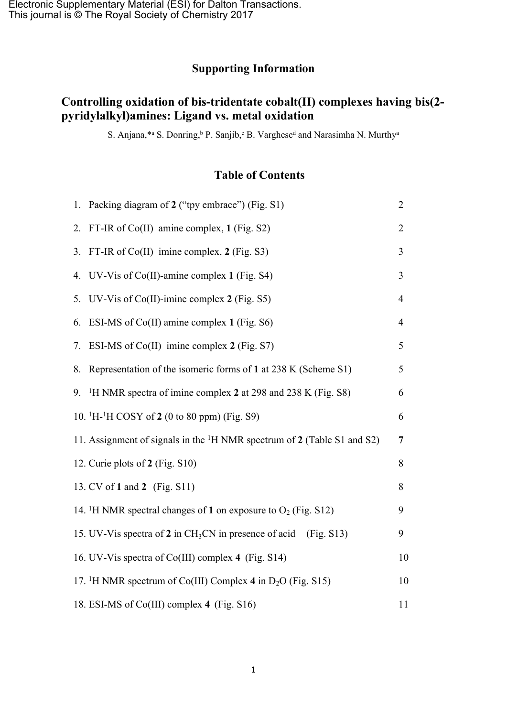## **Supporting Information**

## **Controlling oxidation of bis-tridentate cobalt(II) complexes having bis(2 pyridylalkyl)amines: Ligand vs. metal oxidation**

S. Anjana,\*a S. Donring, $\Delta$  P. Sanjib, $\Delta$  B. Varghese<sup>d</sup> and Narasimha N. Murthy<sup>a</sup>

## **Table of Contents**

|    | 1. Packing diagram of 2 ("tpy embrace") (Fig. S1)<br>$\overline{2}$                 |                |  |  |  |  |
|----|-------------------------------------------------------------------------------------|----------------|--|--|--|--|
|    | 2. FT-IR of Co(II) amine complex, 1 (Fig. S2)                                       | $\overline{2}$ |  |  |  |  |
|    | 3. FT-IR of Co(II) imine complex, 2 (Fig. S3)                                       |                |  |  |  |  |
|    | 4. UV-Vis of Co(II)-amine complex 1 (Fig. S4)                                       | $\overline{3}$ |  |  |  |  |
|    | 5. UV-Vis of Co(II)-imine complex 2 (Fig. S5)                                       |                |  |  |  |  |
| 6. | ESI-MS of $Co(II)$ amine complex 1 (Fig. S6)                                        |                |  |  |  |  |
| 7. | ESI-MS of Co(II) imine complex $2$ (Fig. S7)                                        | 5              |  |  |  |  |
| 8. | Representation of the isomeric forms of 1 at 238 K (Scheme S1)                      | 5              |  |  |  |  |
|    | 9. <sup>1</sup> H NMR spectra of imine complex 2 at 298 and 238 K (Fig. S8)         | 6              |  |  |  |  |
|    | 10. <sup>1</sup> H <sub>-</sub> <sup>1</sup> H COSY of 2 (0 to 80 ppm) (Fig. S9)    | 6              |  |  |  |  |
|    | 11. Assignment of signals in the <sup>1</sup> H NMR spectrum of 2 (Table S1 and S2) | $\overline{7}$ |  |  |  |  |
|    | 12. Curie plots of 2 (Fig. S10)                                                     | 8              |  |  |  |  |
|    | 13. CV of 1 and 2 (Fig. S11)                                                        | 8              |  |  |  |  |
|    | 14. <sup>1</sup> H NMR spectral changes of 1 on exposure to $O_2$ (Fig. S12)        | 9              |  |  |  |  |
|    | 15. UV-Vis spectra of 2 in CH <sub>3</sub> CN in presence of acid (Fig. S13)        | 9              |  |  |  |  |
|    | 16. UV-Vis spectra of Co(III) complex 4 (Fig. S14)                                  | 10             |  |  |  |  |
|    | 17. <sup>1</sup> H NMR spectrum of Co(III) Complex 4 in $D_2O$ (Fig. S15)           | 10             |  |  |  |  |
|    | 18. ESI-MS of Co(III) complex 4 (Fig. S16)                                          | 11             |  |  |  |  |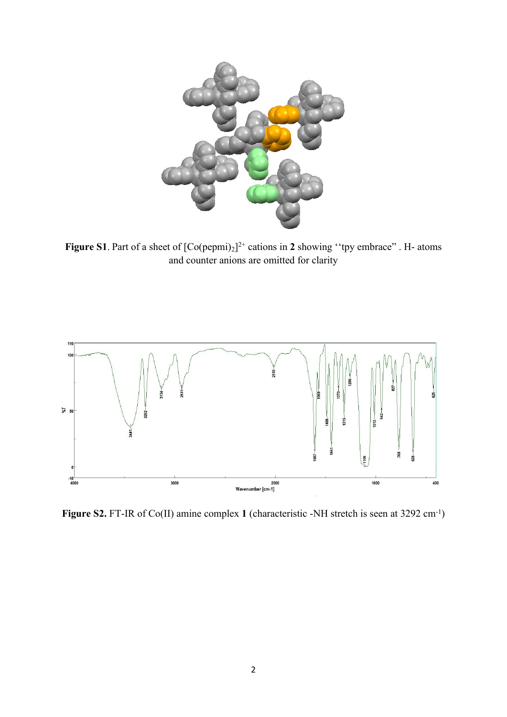

**Figure S1**. Part of a sheet of  $[Co(pepm)]^{2+}$  cations in 2 showing "tpy embrace". H- atoms and counter anions are omitted for clarity



**Figure S2.** FT-IR of Co(II) amine complex **1** (characteristic -NH stretch is seen at 3292 cm-1)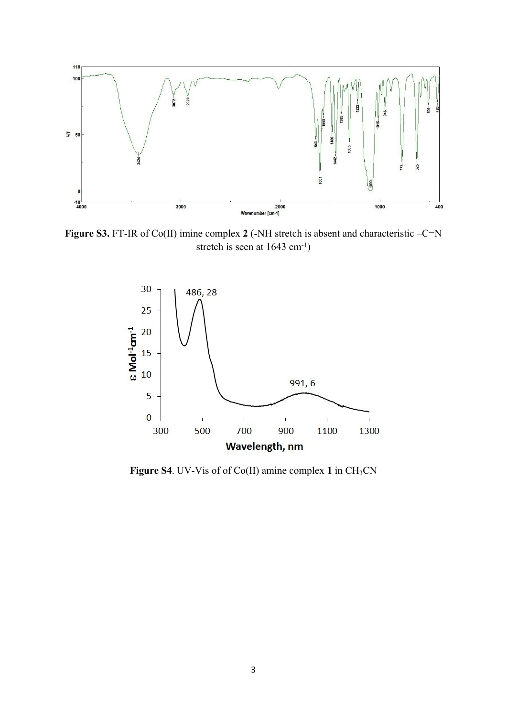

**Figure S3.** FT-IR of Co(II) imine complex 2 (-NH stretch is absent and characteristic –C=N stretch is seen at 1643 cm<sup>-1</sup>)



**Figure S4**. UV-Vis of of Co(II) amine complex 1 in CH<sub>3</sub>CN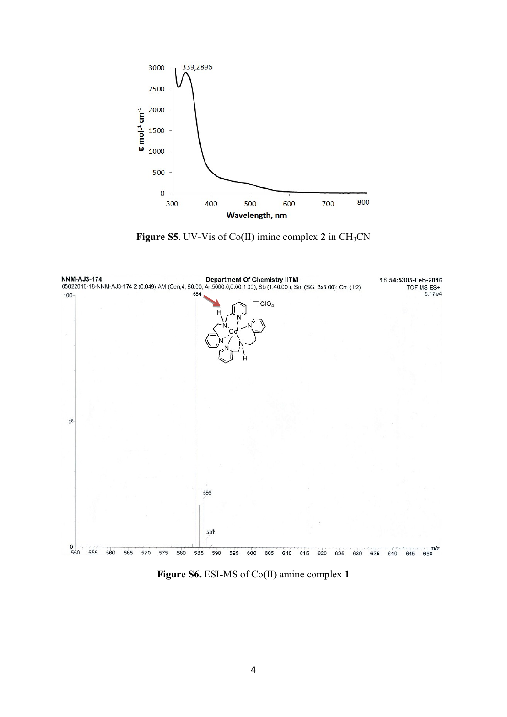

**Figure S5**. UV-Vis of Co(II) imine complex 2 in CH<sub>3</sub>CN



**Figure S6.** ESI-MS of Co(II) amine complex **1**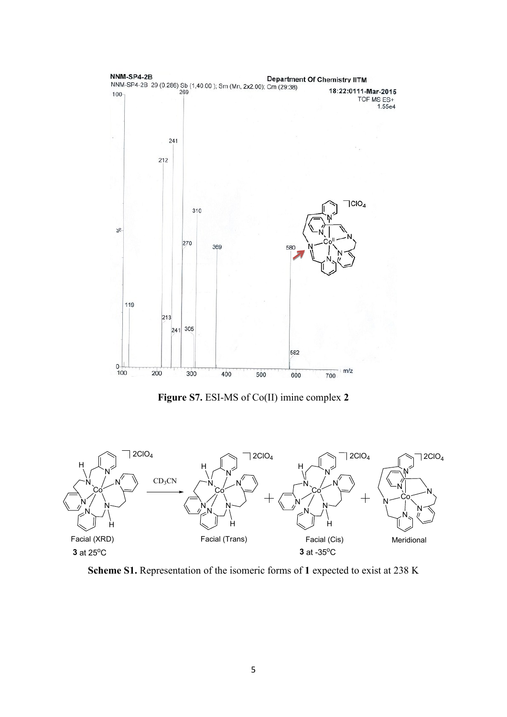

**Figure S7.** ESI-MS of Co(II) imine complex **2**



**Scheme S1.** Representation of the isomeric forms of **1** expected to exist at 238 K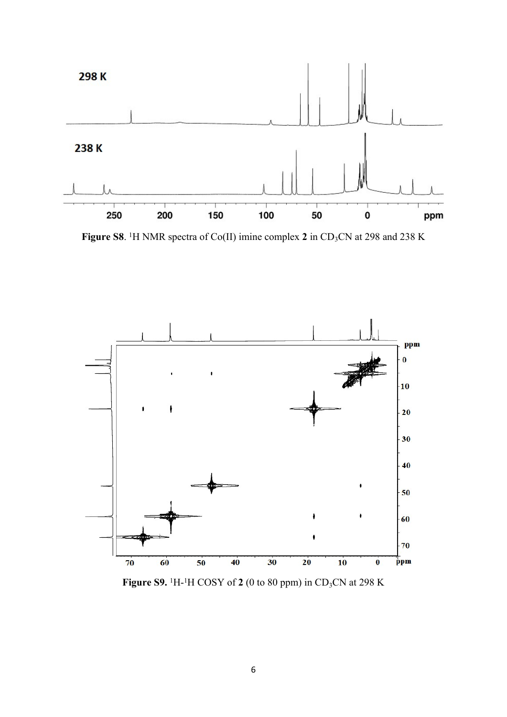

**Figure S8**. <sup>1</sup>H NMR spectra of Co(II) imine complex 2 in CD<sub>3</sub>CN at 298 and 238 K



**Figure S9.** <sup>1</sup>H-<sup>1</sup>H COSY of **2** (0 to 80 ppm) in CD3CN at 298 K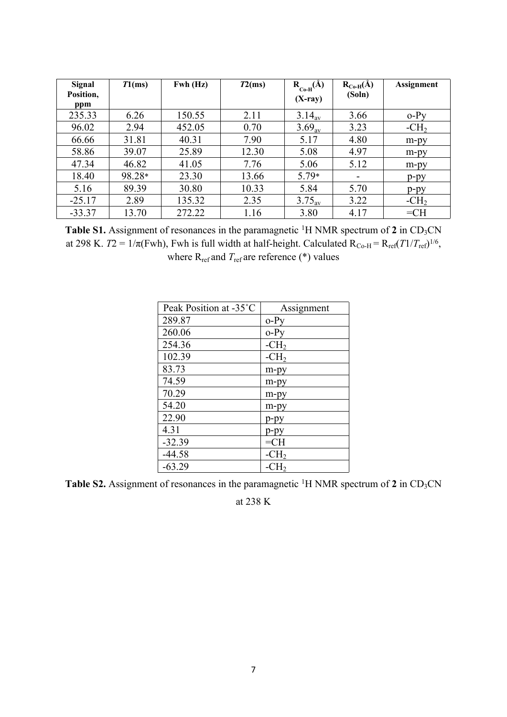| Signal<br>Position,<br>ppm | T1(ms) | $Fwh$ (Hz) | T2(ms) | $R_{C_0-H}(\AA)$<br>$(X-ray)$ | $R_{Co-H}(\AA)$<br>(Soln) | <b>Assignment</b> |
|----------------------------|--------|------------|--------|-------------------------------|---------------------------|-------------------|
| 235.33                     | 6.26   | 150.55     | 2.11   | $3.14_{\rm av}$               | 3.66                      | $o-Py$            |
| 96.02                      | 2.94   | 452.05     | 0.70   | $3.69_{av}$                   | 3.23                      | $-CH2$            |
| 66.66                      | 31.81  | 40.31      | 7.90   | 5.17                          | 4.80                      | m-py              |
| 58.86                      | 39.07  | 25.89      | 12.30  | 5.08                          | 4.97                      | m-py              |
| 47.34                      | 46.82  | 41.05      | 7.76   | 5.06                          | 5.12                      | $m$ - $py$        |
| 18.40                      | 98.28* | 23.30      | 13.66  | $5.79*$                       |                           | $p$ -py           |
| 5.16                       | 89.39  | 30.80      | 10.33  | 5.84                          | 5.70                      | $p-py$            |
| $-25.17$                   | 2.89   | 135.32     | 2.35   | $3.75_{\text{av}}$            | 3.22                      | $-CH2$            |
| $-33.37$                   | 13.70  | 272.22     | 1.16   | 3.80                          | 4.17                      | $=CH$             |

Table S1. Assignment of resonances in the paramagnetic <sup>1</sup>H NMR spectrum of 2 in CD<sub>3</sub>CN at 298 K.  $T2 = 1/\pi$ (Fwh), Fwh is full width at half-height. Calculated  $R_{Co-H} = R_{ref}(T1/T_{ref})^{1/6}$ , where  $R_{ref}$  and  $T_{ref}$  are reference (\*) values

| Peak Position at -35°C | Assignment |
|------------------------|------------|
| 289.87                 | $o-Py$     |
| 260.06                 | $o-Pv$     |
| 254.36                 | $-CH2$     |
| 102.39                 | $-CH2$     |
| 83.73                  | m-py       |
| 74.59                  | m-py       |
| 70.29                  | m-py       |
| 54.20                  | m-py       |
| 22.90                  | p-py       |
| 4.31                   | p-py       |
| $-32.39$               | $=CH$      |
| $-44.58$               | $-CH2$     |
| $-63.29$               | $-CH2$     |

**Table S2.** Assignment of resonances in the paramagnetic <sup>1</sup>H NMR spectrum of **2** in CD3CN

at 238 K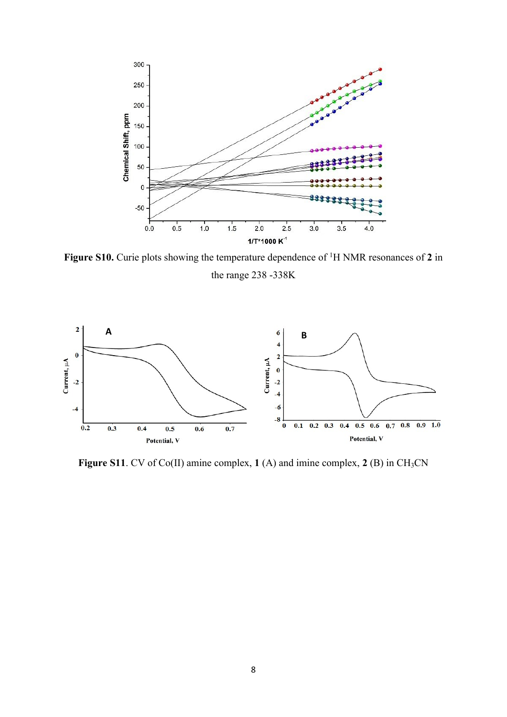

**Figure S10.** Curie plots showing the temperature dependence of <sup>1</sup>H NMR resonances of **2** in the range 238 -338K



**Figure S11**. CV of Co(II) amine complex, **1** (A) and imine complex, **2** (B) in CH<sub>3</sub>CN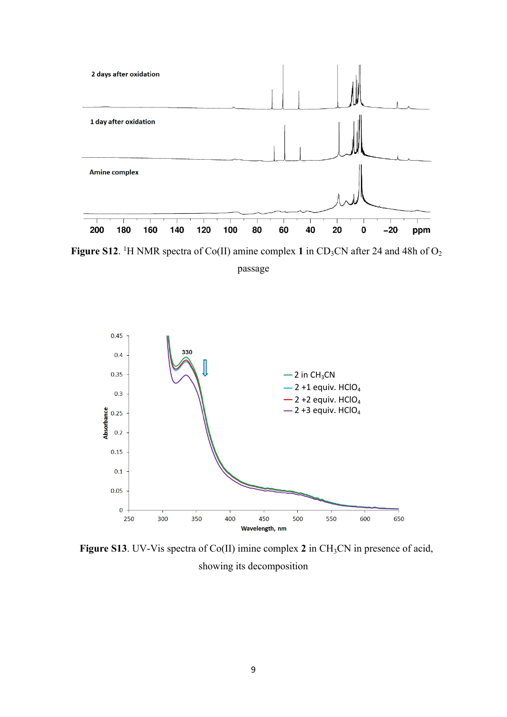

**Figure S12**. <sup>1</sup>H NMR spectra of Co(II) amine complex 1 in CD<sub>3</sub>CN after 24 and 48h of O<sub>2</sub>

passage



**Figure S13**. UV-Vis spectra of Co(II) imine complex **2** in CH3CN in presence of acid, showing its decomposition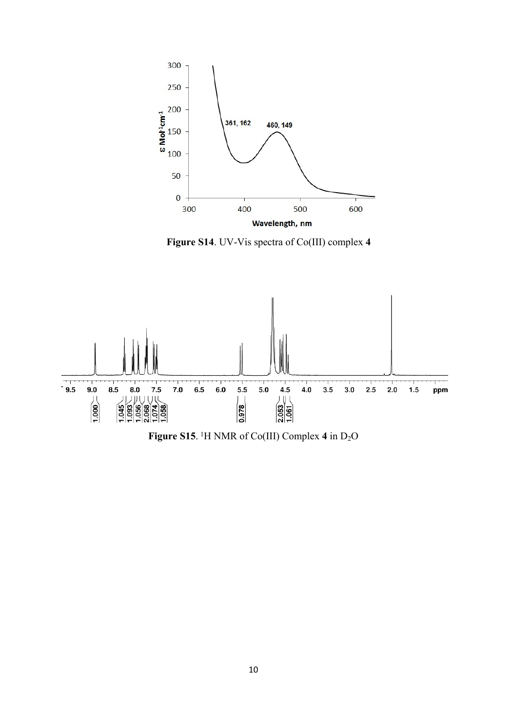

**Figure S14**. UV-Vis spectra of Co(III) complex **4**



**Figure S15**. <sup>1</sup>H NMR of Co(III) Complex 4 in D<sub>2</sub>O